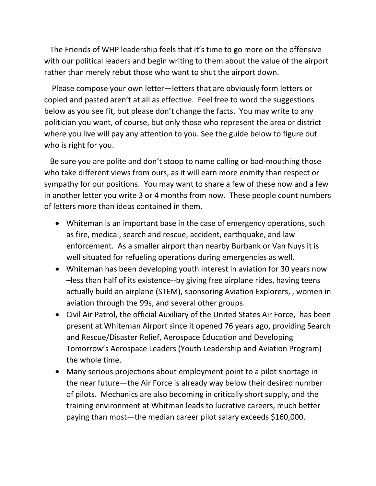The Friends of WHP leadership feels that it's time to go more on the offensive with our political leaders and begin writing to them about the value of the airport rather than merely rebut those who want to shut the airport down.

 Please compose your own letter—letters that are obviously form letters or copied and pasted aren't at all as effective. Feel free to word the suggestions below as you see fit, but please don't change the facts. You may write to any politician you want, of course, but only those who represent the area or district where you live will pay any attention to you. See the guide below to figure out who is right for you.

 Be sure you are polite and don't stoop to name calling or bad-mouthing those who take different views from ours, as it will earn more enmity than respect or sympathy for our positions. You may want to share a few of these now and a few in another letter you write 3 or 4 months from now. These people count numbers of letters more than ideas contained in them.

- Whiteman is an important base in the case of emergency operations, such as fire, medical, search and rescue, accident, earthquake, and law enforcement. As a smaller airport than nearby Burbank or Van Nuys it is well situated for refueling operations during emergencies as well.
- Whiteman has been developing youth interest in aviation for 30 years now –less than half of its existence--by giving free airplane rides, having teens actually build an airplane (STEM), sponsoring Aviation Explorers, , women in aviation through the 99s, and several other groups.
- Civil Air Patrol, the official Auxiliary of the United States Air Force, has been present at Whiteman Airport since it opened 76 years ago, providing Search and Rescue/Disaster Relief, Aerospace Education and Developing Tomorrow's Aerospace Leaders (Youth Leadership and Aviation Program) the whole time.
- Many serious projections about employment point to a pilot shortage in the near future—the Air Force is already way below their desired number of pilots. Mechanics are also becoming in critically short supply, and the training environment at Whitman leads to lucrative careers, much better paying than most—the median career pilot salary exceeds \$160,000.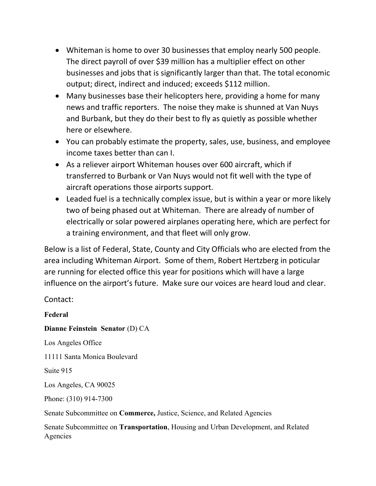- Whiteman is home to over 30 businesses that employ nearly 500 people. The direct payroll of over \$39 million has a multiplier effect on other businesses and jobs that is significantly larger than that. The total economic output; direct, indirect and induced; exceeds \$112 million.
- Many businesses base their helicopters here, providing a home for many news and traffic reporters. The noise they make is shunned at Van Nuys and Burbank, but they do their best to fly as quietly as possible whether here or elsewhere.
- You can probably estimate the property, sales, use, business, and employee income taxes better than can I.
- As a reliever airport Whiteman houses over 600 aircraft, which if transferred to Burbank or Van Nuys would not fit well with the type of aircraft operations those airports support.
- Leaded fuel is a technically complex issue, but is within a year or more likely two of being phased out at Whiteman. There are already of number of electrically or solar powered airplanes operating here, which are perfect for a training environment, and that fleet will only grow.

Below is a list of Federal, State, County and City Officials who are elected from the area including Whiteman Airport. Some of them, Robert Hertzberg in poticular are running for elected office this year for positions which will have a large influence on the airport's future. Make sure our voices are heard loud and clear.

Contact:

Federal Dianne Feinstein Senator (D) CA Los Angeles Office 11111 Santa Monica Boulevard Suite 915 Los Angeles, CA 90025 Phone: (310) 914-7300 Senate Subcommittee on Commerce, Justice, Science, and Related Agencies

Senate Subcommittee on Transportation, Housing and Urban Development, and Related Agencies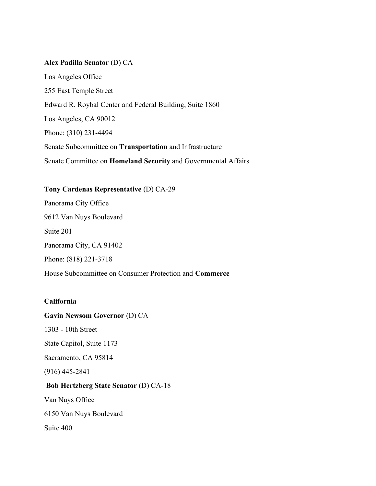#### Alex Padilla Senator (D) CA

Los Angeles Office 255 East Temple Street Edward R. Roybal Center and Federal Building, Suite 1860 Los Angeles, CA 90012 Phone: (310) 231-4494 Senate Subcommittee on Transportation and Infrastructure Senate Committee on Homeland Security and Governmental Affairs

Tony Cardenas Representative (D) CA-29 Panorama City Office 9612 Van Nuys Boulevard Suite 201 Panorama City, CA 91402 Phone: (818) 221-3718 House Subcommittee on Consumer Protection and Commerce

## California

Gavin Newsom Governor (D) CA

1303 - 10th Street

State Capitol, Suite 1173

Sacramento, CA 95814

(916) 445-2841

#### Bob Hertzberg State Senator (D) CA-18

Van Nuys Office

6150 Van Nuys Boulevard

Suite 400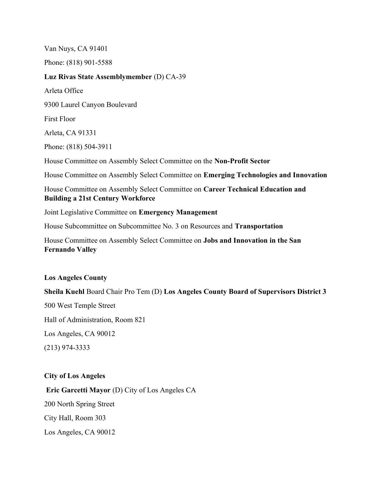Van Nuys, CA 91401 Phone: (818) 901-5588 Luz Rivas State Assemblymember (D) CA-39 Arleta Office 9300 Laurel Canyon Boulevard First Floor Arleta, CA 91331 Phone: (818) 504-3911 House Committee on Assembly Select Committee on the Non-Profit Sector House Committee on Assembly Select Committee on Emerging Technologies and Innovation House Committee on Assembly Select Committee on Career Technical Education and Building a 21st Century Workforce Joint Legislative Committee on Emergency Management House Subcommittee on Subcommittee No. 3 on Resources and Transportation House Committee on Assembly Select Committee on Jobs and Innovation in the San Fernando Valley

## Los Angeles County

Sheila Kuehl Board Chair Pro Tem (D) Los Angeles County Board of Supervisors District 3 500 West Temple Street Hall of Administration, Room 821 Los Angeles, CA 90012 (213) 974-3333

#### City of Los Angeles

Eric Garcetti Mayor (D) City of Los Angeles CA 200 North Spring Street City Hall, Room 303 Los Angeles, CA 90012